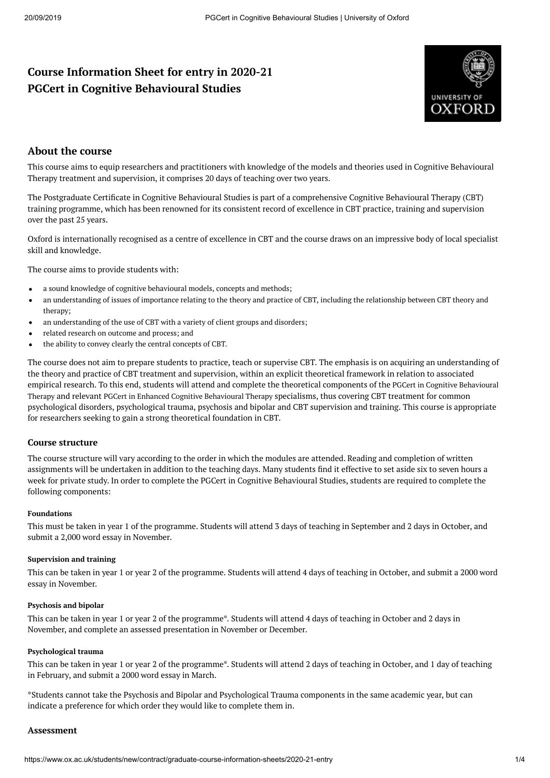# **Course Information Sheet for entry in 2020-21 PGCert in Cognitive Behavioural Studies**



# **About the course**

This course aims to equip researchers and practitioners with knowledge of the models and theories used in Cognitive Behavioural Therapy treatment and supervision, it comprises 20 days of teaching over two years.

The Postgraduate Certificate in Cognitive Behavioural Studies is part of a comprehensive Cognitive Behavioural Therapy (CBT) training programme, which has been renowned for its consistent record of excellence in CBT practice, training and supervision over the past 25 years.

Oxford is internationally recognised as a centre of excellence in CBT and the course draws on an impressive body of local specialist skill and knowledge.

The course aims to provide students with:

- a sound knowledge of cognitive behavioural models, concepts and methods;  $\bullet$
- an understanding of issues of importance relating to the theory and practice of CBT, including the relationship between CBT theory and  $\bullet$ therapy;
- an understanding of the use of CBT with a variety of client groups and disorders;
- related research on outcome and process; and
- $\bullet$ the ability to convey clearly the central concepts of CBT.

The course does not aim to prepare students to practice, teach or supervise CBT. The emphasis is on acquiring an understanding of the theory and practice of CBT treatment and supervision, within an explicit theoretical framework in relation to associated empirical research. To this end, students will attend and complete the theoretical [components](https://www.ox.ac.uk/admissions/graduate/courses/pgcert-cognitive-behavioural-therapy) of the PGCert in Cognitive Behavioural Therapy and relevant PGCert in Enhanced Cognitive [Behavioural](https://www.ox.ac.uk/admissions/graduate/courses/pgcert-enhanced-cognitive-behavioural-therapy) Therapy specialisms, thus covering CBT treatment for common psychological disorders, psychological trauma, psychosis and bipolar and CBT supervision and training. This course is appropriate for researchers seeking to gain a strong theoretical foundation in CBT.

#### **Course structure**

The course structure will vary according to the order in which the modules are attended. Reading and completion of written assignments will be undertaken in addition to the teaching days. Many students find it effective to set aside six to seven hours a week for private study. In order to complete the PGCert in Cognitive Behavioural Studies, students are required to complete the following components:

#### **Foundations**

This must be taken in year 1 of the programme. Students will attend 3 days of teaching in September and 2 days in October, and submit a 2,000 word essay in November.

#### **Supervision and training**

This can be taken in year 1 or year 2 of the programme. Students will attend 4 days of teaching in October, and submit a 2000 word essay in November.

#### **Psychosis and bipolar**

This can be taken in year 1 or year 2 of the programme\*. Students will attend 4 days of teaching in October and 2 days in November, and complete an assessed presentation in November or December.

#### **Psychological trauma**

This can be taken in year 1 or year 2 of the programme\*. Students will attend 2 days of teaching in October, and 1 day of teaching in February, and submit a 2000 word essay in March.

\*Students cannot take the Psychosis and Bipolar and Psychological Trauma components in the same academic year, but can indicate a preference for which order they would like to complete them in.

#### **Assessment**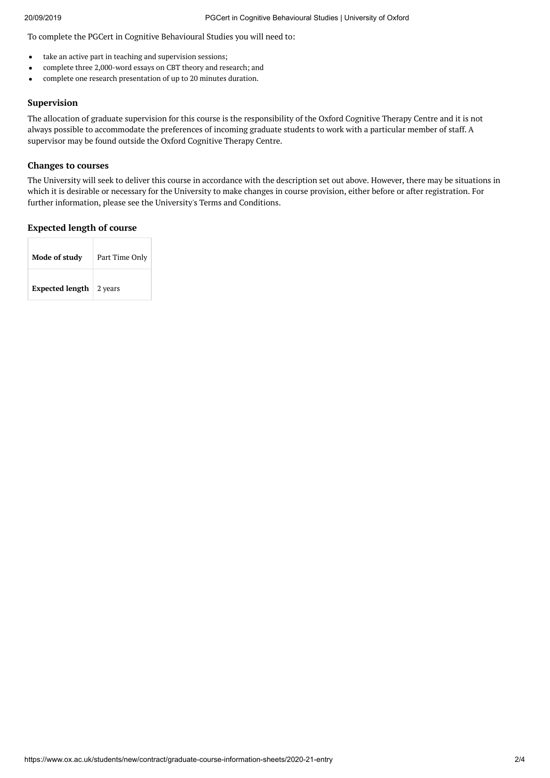To complete the PGCert in Cognitive Behavioural Studies you will need to:

- take an active part in teaching and supervision sessions;  $\bullet$
- complete three 2,000-word essays on CBT theory and research; and
- complete one research presentation of up to 20 minutes duration.  $\bullet$

# **Supervision**

The allocation of graduate supervision for this course is the responsibility of the Oxford Cognitive Therapy Centre and it is not always possible to accommodate the preferences of incoming graduate students to work with a particular member of staff. A supervisor may be found outside the Oxford Cognitive Therapy Centre.

### **Changes to courses**

The University will seek to deliver this course in accordance with the description set out above. However, there may be situations in which it is desirable or necessary for the University to make changes in course provision, either before or after registration. For further information, please see the University's Terms and Conditions.

# **Expected length of course**

| Mode of study          | Part Time Only |  |  |
|------------------------|----------------|--|--|
| <b>Expected length</b> | 2 years        |  |  |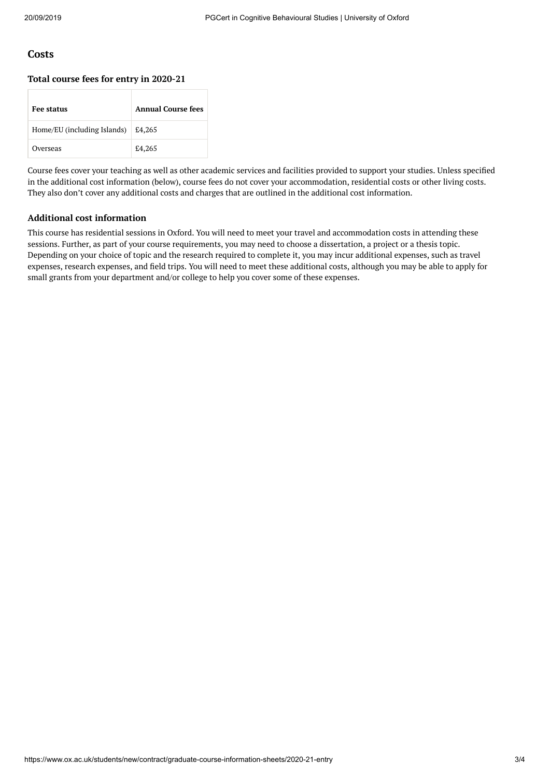# **Costs**

#### **Total course fees for entry in 2020-21**

| <b>Fee status</b>           | <b>Annual Course fees</b> |
|-----------------------------|---------------------------|
| Home/EU (including Islands) | £4,265                    |
| Overseas                    | £4,265                    |

Course fees cover your teaching as well as other academic services and facilities provided to support your studies. Unless specified in the additional cost information (below), course fees do not cover your accommodation, residential costs or other living costs. They also don't cover any additional costs and charges that are outlined in the additional cost information.

# **Additional cost information**

This course has residential sessions in Oxford. You will need to meet your travel and accommodation costs in attending these sessions. Further, as part of your course requirements, you may need to choose a dissertation, a project or a thesis topic. Depending on your choice of topic and the research required to complete it, you may incur additional expenses, such as travel expenses, research expenses, and eld trips. You will need to meet these additional costs, although you may be able to apply for small grants from your department and/or college to help you cover some of these expenses.